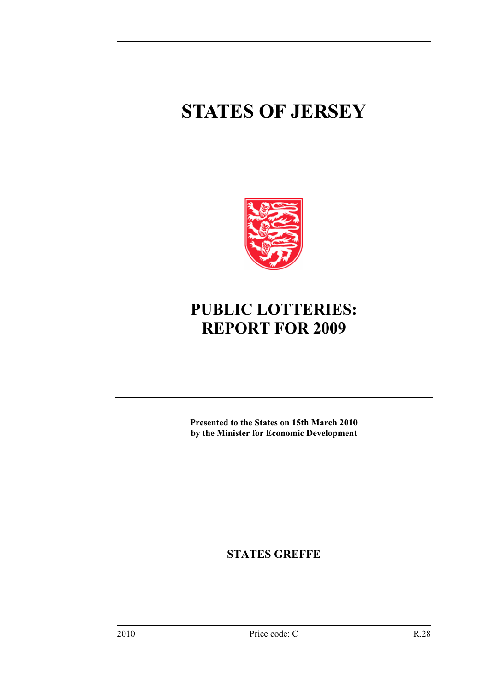# **STATES OF JERSEY**



## **PUBLIC LOTTERIES: REPORT FOR 2009**

**Presented to the States on 15th March 2010 by the Minister for Economic Development** 

**STATES GREFFE**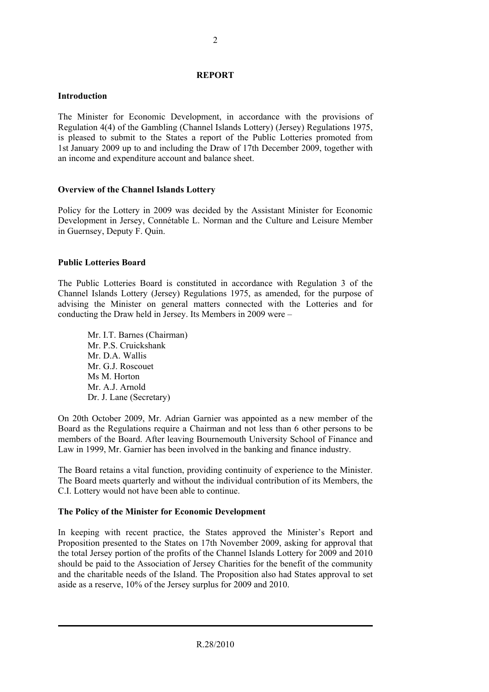#### **REPORT**

#### **Introduction**

The Minister for Economic Development, in accordance with the provisions of Regulation 4(4) of the Gambling (Channel Islands Lottery) (Jersey) Regulations 1975, is pleased to submit to the States a report of the Public Lotteries promoted from 1st January 2009 up to and including the Draw of 17th December 2009, together with an income and expenditure account and balance sheet.

## **Overview of the Channel Islands Lottery**

Policy for the Lottery in 2009 was decided by the Assistant Minister for Economic Development in Jersey, Connétable L. Norman and the Culture and Leisure Member in Guernsey, Deputy F. Quin.

#### **Public Lotteries Board**

The Public Lotteries Board is constituted in accordance with Regulation 3 of the Channel Islands Lottery (Jersey) Regulations 1975, as amended, for the purpose of advising the Minister on general matters connected with the Lotteries and for conducting the Draw held in Jersey. Its Members in 2009 were –

Mr. I.T. Barnes (Chairman) Mr. P.S. Cruickshank Mr. D.A. Wallis Mr. G.J. Roscouet Ms M. Horton Mr. A.J. Arnold Dr. J. Lane (Secretary)

On 20th October 2009, Mr. Adrian Garnier was appointed as a new member of the Board as the Regulations require a Chairman and not less than 6 other persons to be members of the Board. After leaving Bournemouth University School of Finance and Law in 1999, Mr. Garnier has been involved in the banking and finance industry.

The Board retains a vital function, providing continuity of experience to the Minister. The Board meets quarterly and without the individual contribution of its Members, the C.I. Lottery would not have been able to continue.

#### **The Policy of the Minister for Economic Development**

In keeping with recent practice, the States approved the Minister's Report and Proposition presented to the States on 17th November 2009, asking for approval that the total Jersey portion of the profits of the Channel Islands Lottery for 2009 and 2010 should be paid to the Association of Jersey Charities for the benefit of the community and the charitable needs of the Island. The Proposition also had States approval to set aside as a reserve, 10% of the Jersey surplus for 2009 and 2010.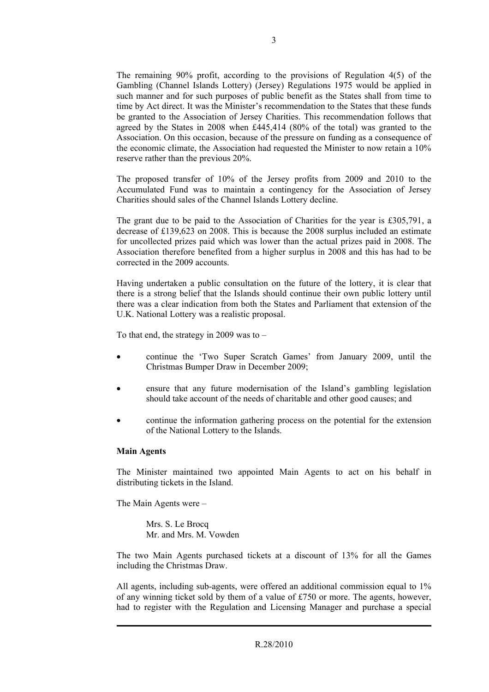The remaining 90% profit, according to the provisions of Regulation 4(5) of the Gambling (Channel Islands Lottery) (Jersey) Regulations 1975 would be applied in such manner and for such purposes of public benefit as the States shall from time to time by Act direct. It was the Minister's recommendation to the States that these funds be granted to the Association of Jersey Charities. This recommendation follows that agreed by the States in 2008 when £445,414 (80% of the total) was granted to the Association. On this occasion, because of the pressure on funding as a consequence of the economic climate, the Association had requested the Minister to now retain a 10% reserve rather than the previous 20%.

The proposed transfer of 10% of the Jersey profits from 2009 and 2010 to the Accumulated Fund was to maintain a contingency for the Association of Jersey Charities should sales of the Channel Islands Lottery decline.

The grant due to be paid to the Association of Charities for the year is £305,791, a decrease of £139,623 on 2008. This is because the 2008 surplus included an estimate for uncollected prizes paid which was lower than the actual prizes paid in 2008. The Association therefore benefited from a higher surplus in 2008 and this has had to be corrected in the 2009 accounts.

Having undertaken a public consultation on the future of the lottery, it is clear that there is a strong belief that the Islands should continue their own public lottery until there was a clear indication from both the States and Parliament that extension of the U.K. National Lottery was a realistic proposal.

To that end, the strategy in 2009 was to –

- continue the 'Two Super Scratch Games' from January 2009, until the Christmas Bumper Draw in December 2009;
- ensure that any future modernisation of the Island's gambling legislation should take account of the needs of charitable and other good causes; and
- continue the information gathering process on the potential for the extension of the National Lottery to the Islands.

#### **Main Agents**

The Minister maintained two appointed Main Agents to act on his behalf in distributing tickets in the Island.

The Main Agents were –

Mrs. S. Le Brocq Mr. and Mrs. M. Vowden

The two Main Agents purchased tickets at a discount of 13% for all the Games including the Christmas Draw.

All agents, including sub-agents, were offered an additional commission equal to 1% of any winning ticket sold by them of a value of £750 or more. The agents, however, had to register with the Regulation and Licensing Manager and purchase a special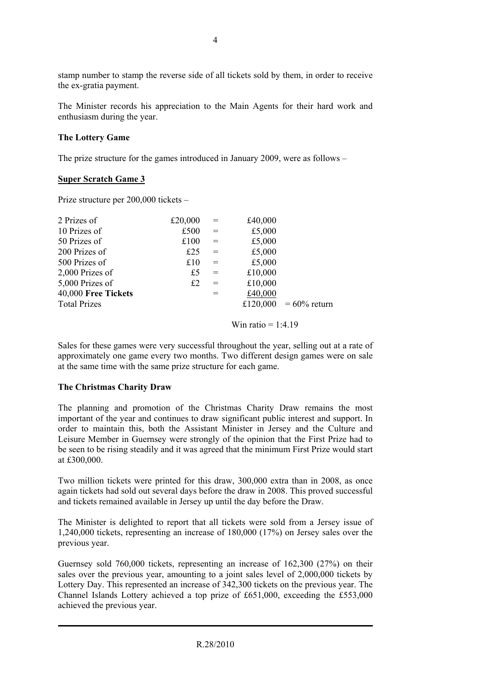stamp number to stamp the reverse side of all tickets sold by them, in order to receive the ex-gratia payment.

The Minister records his appreciation to the Main Agents for their hard work and enthusiasm during the year.

#### **The Lottery Game**

The prize structure for the games introduced in January 2009, were as follows –

#### **Super Scratch Game 3**

Prize structure per 200,000 tickets –

| 2 Prizes of         | £20,000 | $=$ | £40,000 |                          |
|---------------------|---------|-----|---------|--------------------------|
| 10 Prizes of        | £500    | $=$ | £5,000  |                          |
| 50 Prizes of        | £100    | $=$ | £5,000  |                          |
| 200 Prizes of       | £25     | $=$ | £5,000  |                          |
| 500 Prizes of       | £10     | $=$ | £5,000  |                          |
| 2,000 Prizes of     | £5      | $=$ | £10,000 |                          |
| 5,000 Prizes of     | £2      | $=$ | £10,000 |                          |
| 40,000 Free Tickets |         | $=$ | £40,000 |                          |
| <b>Total Prizes</b> |         |     |         | £120,000 = $60\%$ return |

Win ratio  $= 1:4.19$ 

Sales for these games were very successful throughout the year, selling out at a rate of approximately one game every two months. Two different design games were on sale at the same time with the same prize structure for each game.

## **The Christmas Charity Draw**

The planning and promotion of the Christmas Charity Draw remains the most important of the year and continues to draw significant public interest and support. In order to maintain this, both the Assistant Minister in Jersey and the Culture and Leisure Member in Guernsey were strongly of the opinion that the First Prize had to be seen to be rising steadily and it was agreed that the minimum First Prize would start at £300,000.

Two million tickets were printed for this draw, 300,000 extra than in 2008, as once again tickets had sold out several days before the draw in 2008. This proved successful and tickets remained available in Jersey up until the day before the Draw.

The Minister is delighted to report that all tickets were sold from a Jersey issue of 1,240,000 tickets, representing an increase of 180,000 (17%) on Jersey sales over the previous year.

Guernsey sold 760,000 tickets, representing an increase of 162,300 (27%) on their sales over the previous year, amounting to a joint sales level of 2,000,000 tickets by Lottery Day. This represented an increase of 342,300 tickets on the previous year. The Channel Islands Lottery achieved a top prize of £651,000, exceeding the £553,000 achieved the previous year.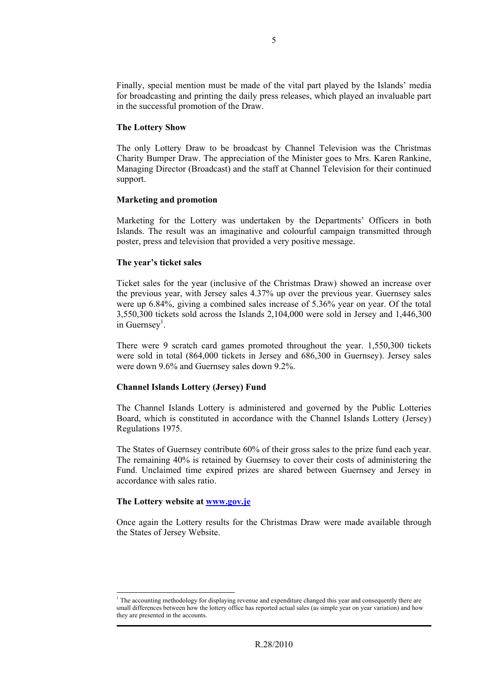Finally, special mention must be made of the vital part played by the Islands' media for broadcasting and printing the daily press releases, which played an invaluable part in the successful promotion of the Draw.

#### **The Lottery Show**

The only Lottery Draw to be broadcast by Channel Television was the Christmas Charity Bumper Draw. The appreciation of the Minister goes to Mrs. Karen Rankine, Managing Director (Broadcast) and the staff at Channel Television for their continued support.

#### **Marketing and promotion**

Marketing for the Lottery was undertaken by the Departments' Officers in both Islands. The result was an imaginative and colourful campaign transmitted through poster, press and television that provided a very positive message.

#### **The year's ticket sales**

Ticket sales for the year (inclusive of the Christmas Draw) showed an increase over the previous year, with Jersey sales 4.37% up over the previous year. Guernsey sales were up 6.84%, giving a combined sales increase of 5.36% year on year. Of the total 3,550,300 tickets sold across the Islands 2,104,000 were sold in Jersey and 1,446,300 in Guernsey<sup>[1](#page-4-0)</sup>.

There were 9 scratch card games promoted throughout the year. 1,550,300 tickets were sold in total (864,000 tickets in Jersey and 686,300 in Guernsey). Jersey sales were down 9.6% and Guernsey sales down 9.2%.

## **Channel Islands Lottery (Jersey) Fund**

The Channel Islands Lottery is administered and governed by the Public Lotteries Board, which is constituted in accordance with the Channel Islands Lottery (Jersey) Regulations 1975.

The States of Guernsey contribute 60% of their gross sales to the prize fund each year. The remaining 40% is retained by Guernsey to cover their costs of administering the Fund. Unclaimed time expired prizes are shared between Guernsey and Jersey in accordance with sales ratio.

#### **The Lottery website at [www.gov.je](http://www.gov.je/)**

Once again the Lottery results for the Christmas Draw were made available through the States of Jersey Website.

<span id="page-4-0"></span> $\frac{1}{1}$  $<sup>1</sup>$  The accounting methodology for displaying revenue and expenditure changed this year and consequently there are</sup> small differences between how the lottery office has reported actual sales (as simple year on year variation) and how they are presented in the accounts.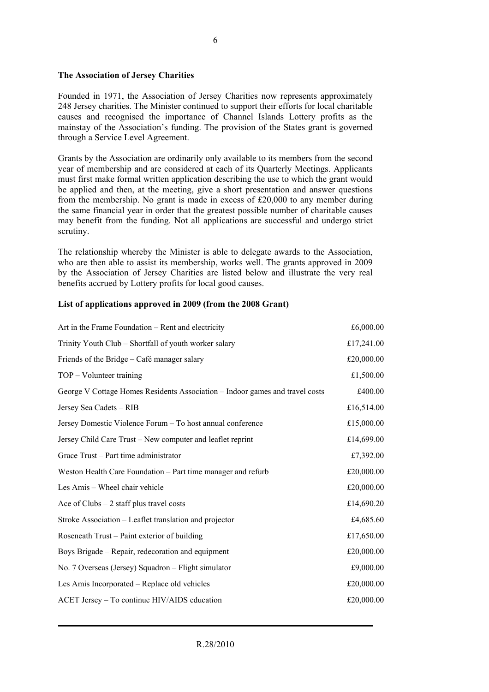#### **The Association of Jersey Charities**

Founded in 1971, the Association of Jersey Charities now represents approximately 248 Jersey charities. The Minister continued to support their efforts for local charitable causes and recognised the importance of Channel Islands Lottery profits as the mainstay of the Association's funding. The provision of the States grant is governed through a Service Level Agreement.

Grants by the Association are ordinarily only available to its members from the second year of membership and are considered at each of its Quarterly Meetings. Applicants must first make formal written application describing the use to which the grant would be applied and then, at the meeting, give a short presentation and answer questions from the membership. No grant is made in excess of £20,000 to any member during the same financial year in order that the greatest possible number of charitable causes may benefit from the funding. Not all applications are successful and undergo strict scrutiny.

The relationship whereby the Minister is able to delegate awards to the Association, who are then able to assist its membership, works well. The grants approved in 2009 by the Association of Jersey Charities are listed below and illustrate the very real benefits accrued by Lottery profits for local good causes.

#### **List of applications approved in 2009 (from the 2008 Grant)**

| Art in the Frame Foundation – Rent and electricity                           | £6,000.00  |
|------------------------------------------------------------------------------|------------|
| Trinity Youth Club – Shortfall of youth worker salary                        | £17,241.00 |
| Friends of the Bridge – Café manager salary                                  | £20,000.00 |
| TOP - Volunteer training                                                     | £1,500.00  |
| George V Cottage Homes Residents Association - Indoor games and travel costs | £400.00    |
| Jersey Sea Cadets - RIB                                                      | £16,514.00 |
| Jersey Domestic Violence Forum – To host annual conference                   | £15,000.00 |
| Jersey Child Care Trust – New computer and leaflet reprint                   | £14,699.00 |
| Grace Trust – Part time administrator                                        | £7,392.00  |
| Weston Health Care Foundation – Part time manager and refurb                 | £20,000.00 |
| Les Amis - Wheel chair vehicle                                               | £20,000.00 |
| Ace of Clubs $-2$ staff plus travel costs                                    | £14,690.20 |
| Stroke Association – Leaflet translation and projector                       | £4,685.60  |
| Roseneath Trust – Paint exterior of building                                 | £17,650.00 |
| Boys Brigade – Repair, redecoration and equipment                            | £20,000.00 |
| No. 7 Overseas (Jersey) Squadron – Flight simulator                          | £9,000.00  |
| Les Amis Incorporated – Replace old vehicles                                 | £20,000.00 |
| ACET Jersey - To continue HIV/AIDS education                                 | £20,000.00 |
|                                                                              |            |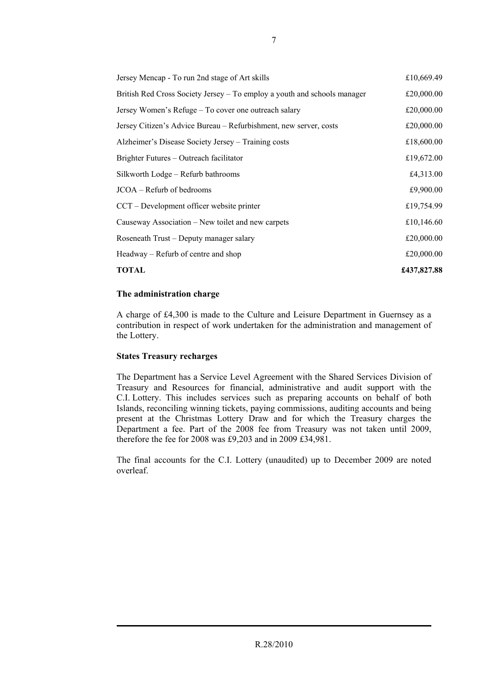| Jersey Mencap - To run 2nd stage of Art skills                           | £10,669.49  |
|--------------------------------------------------------------------------|-------------|
| British Red Cross Society Jersey – To employ a youth and schools manager | £20,000.00  |
| Jersey Women's Refuge – To cover one outreach salary                     | £20,000.00  |
| Jersey Citizen's Advice Bureau – Refurbishment, new server, costs        | £20,000.00  |
| Alzheimer's Disease Society Jersey – Training costs                      | £18,600.00  |
| Brighter Futures – Outreach facilitator                                  | £19,672.00  |
| Silkworth Lodge - Refurb bathrooms                                       | £4,313.00   |
| JCOA – Refurb of bedrooms                                                | £9,900.00   |
| CCT – Development officer website printer                                | £19,754.99  |
| Causeway Association – New toilet and new carpets                        | £10,146.60  |
| Roseneath Trust – Deputy manager salary                                  | £20,000.00  |
| Headway – Refurb of centre and shop                                      | £20,000.00  |
| <b>TOTAL</b>                                                             | £437,827.88 |

#### **The administration charge**

A charge of £4,300 is made to the Culture and Leisure Department in Guernsey as a contribution in respect of work undertaken for the administration and management of the Lottery.

## **States Treasury recharges**

The Department has a Service Level Agreement with the Shared Services Division of Treasury and Resources for financial, administrative and audit support with the C.I. Lottery. This includes services such as preparing accounts on behalf of both Islands, reconciling winning tickets, paying commissions, auditing accounts and being present at the Christmas Lottery Draw and for which the Treasury charges the Department a fee. Part of the 2008 fee from Treasury was not taken until 2009, therefore the fee for 2008 was £9,203 and in 2009 £34,981.

The final accounts for the C.I. Lottery (unaudited) up to December 2009 are noted overleaf.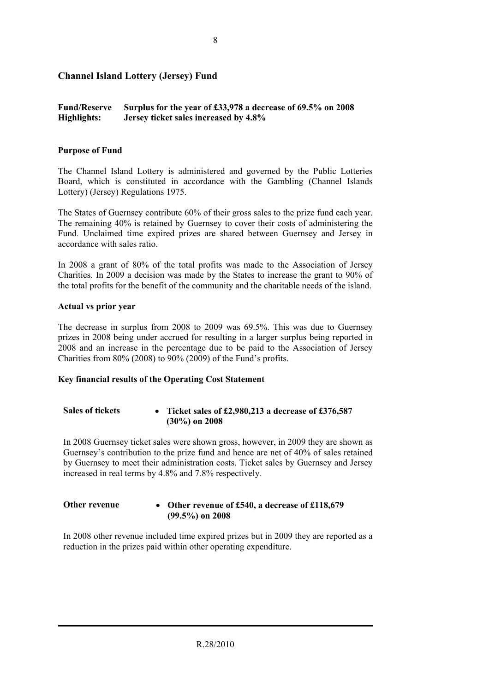## **Channel Island Lottery (Jersey) Fund**

#### **Fund/Reserve Highlights: Surplus for the year of £33,978 a decrease of 69.5% on 2008 Jersey ticket sales increased by 4.8%**

#### **Purpose of Fund**

The Channel Island Lottery is administered and governed by the Public Lotteries Board, which is constituted in accordance with the Gambling (Channel Islands Lottery) (Jersey) Regulations 1975.

The States of Guernsey contribute 60% of their gross sales to the prize fund each year. The remaining 40% is retained by Guernsey to cover their costs of administering the Fund. Unclaimed time expired prizes are shared between Guernsey and Jersey in accordance with sales ratio.

In 2008 a grant of 80% of the total profits was made to the Association of Jersey Charities. In 2009 a decision was made by the States to increase the grant to 90% of the total profits for the benefit of the community and the charitable needs of the island.

#### **Actual vs prior year**

The decrease in surplus from 2008 to 2009 was 69.5%. This was due to Guernsey prizes in 2008 being under accrued for resulting in a larger surplus being reported in 2008 and an increase in the percentage due to be paid to the Association of Jersey Charities from 80% (2008) to 90% (2009) of the Fund's profits.

#### **Key financial results of the Operating Cost Statement**

#### **Sales of tickets** • **Ticket sales of £2,980,213 a decrease of £376,587 (30%) on 2008**

In 2008 Guernsey ticket sales were shown gross, however, in 2009 they are shown as Guernsey's contribution to the prize fund and hence are net of 40% of sales retained by Guernsey to meet their administration costs. Ticket sales by Guernsey and Jersey increased in real terms by 4.8% and 7.8% respectively.

#### **Other revenue** • **Other revenue of £540, a decrease of £118,679 (99.5%) on 2008**

In 2008 other revenue included time expired prizes but in 2009 they are reported as a reduction in the prizes paid within other operating expenditure.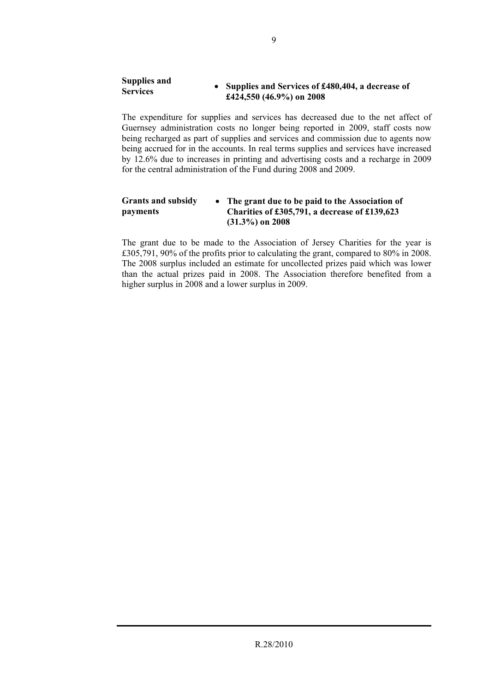#### **Supplies and Services** • **Supplies and Services of £480,404, a decrease of £424,550 (46.9%) on 2008**

The expenditure for supplies and services has decreased due to the net affect of Guernsey administration costs no longer being reported in 2009, staff costs now being recharged as part of supplies and services and commission due to agents now being accrued for in the accounts. In real terms supplies and services have increased by 12.6% due to increases in printing and advertising costs and a recharge in 2009 for the central administration of the Fund during 2008 and 2009.

#### **Grants and subsidy payments**  • **The grant due to be paid to the Association of Charities of £305,791, a decrease of £139,623 (31.3%) on 2008**

The grant due to be made to the Association of Jersey Charities for the year is £305,791, 90% of the profits prior to calculating the grant, compared to 80% in 2008. The 2008 surplus included an estimate for uncollected prizes paid which was lower than the actual prizes paid in 2008. The Association therefore benefited from a higher surplus in 2008 and a lower surplus in 2009.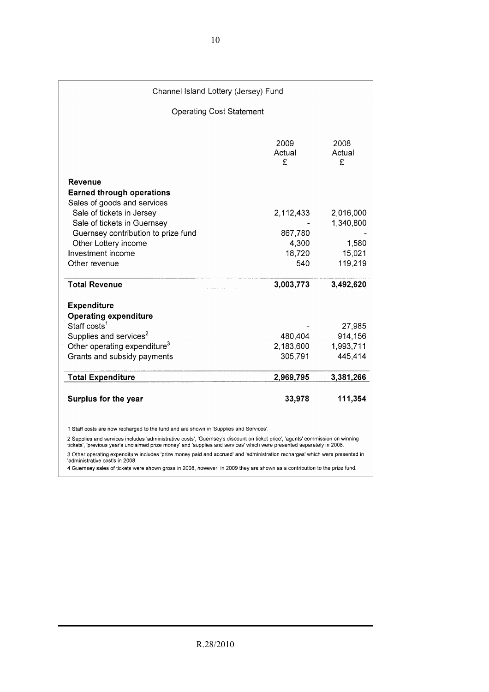#### Channel Island Lottery (Jersey) Fund **Operating Cost Statement** 2009 2008 Actual Actual  $\mathbf{f}$ £ Revenue **Earned through operations** Sales of goods and services Sale of tickets in Jersey 2.112.433 2.016.000 1,340,800 Sale of tickets in Guernsey Guernsey contribution to prize fund 867.780 1,580 Other Lottery income 4,300 15,021 Investment income 18,720 Other revenue 540 119,219 **Total Revenue** 3,003,773 3,492,620 Expenditure **Operating expenditure** Staff costs<sup>1</sup> 27,985 Supplies and services<sup>2</sup> 480,404 914,156 Other operating expenditure<sup>3</sup> 1,993,711 2,183,600 445.414 Grants and subsidy payments 305,791 **Total Expenditure** 2,969,795 3,381,266 33,978 Surplus for the year 111,354

1 Staff costs are now recharged to the fund and are shown in 'Supplies and Services'.

2 Supplies and services includes 'administrative costs', 'Guernsey's discount on ticket price', 'agents' commission on winning tickets', 'previous year's unclaimed prize money' and 'supplies and services' which were presented separately in 2008.

3 Other operating expenditure includes 'prize money paid and accrued' and 'administration recharges' which were presented in 'administrative cost's in 2008

4 Guernsey sales of tickets were shown gross in 2008, however, in 2009 they are shown as a contribution to the prize fund.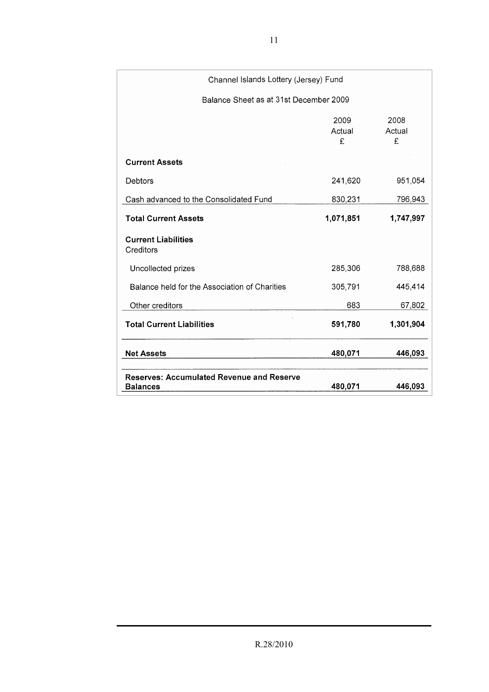| Channel Islands Lottery (Jersey) Fund                               |                     |                     |
|---------------------------------------------------------------------|---------------------|---------------------|
| Balance Sheet as at 31st December 2009                              |                     |                     |
|                                                                     | 2009<br>Actual<br>£ | 2008<br>Actual<br>£ |
| <b>Current Assets</b>                                               |                     |                     |
| Debtors                                                             | 241,620             | 951,054             |
| Cash advanced to the Consolidated Fund                              | 830,231             | 796,943             |
| <b>Total Current Assets</b>                                         | 1,071,851           | 1,747,997           |
| <b>Current Liabilities</b><br>Creditors                             |                     |                     |
| Uncollected prizes                                                  | 285,306             | 788,688             |
| Balance held for the Association of Charities                       | 305,791             | 445,414             |
| Other creditors                                                     | 683                 | 67,802              |
| <b>Total Current Liabilities</b>                                    | 591,780             | 1,301,904           |
| <b>Net Assets</b>                                                   | 480,071             | 446,093             |
| <b>Reserves: Accumulated Revenue and Reserve</b><br><b>Balances</b> | 480,071             | 446,093             |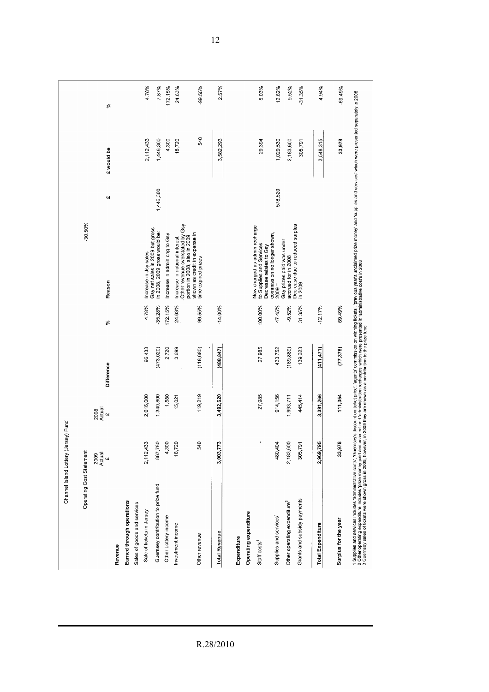| Channel Island Lottery                                                                                                                                                                                                            | (Jersey) Fund              |                                           |            |           |                                                                                       |                          |               |           |
|-----------------------------------------------------------------------------------------------------------------------------------------------------------------------------------------------------------------------------------|----------------------------|-------------------------------------------|------------|-----------|---------------------------------------------------------------------------------------|--------------------------|---------------|-----------|
| Operating Cost Statement                                                                                                                                                                                                          |                            |                                           |            |           | $-30.50%$                                                                             |                          |               |           |
|                                                                                                                                                                                                                                   | Actual<br>2009<br>$\omega$ | Actual<br>2008<br>$\overline{\mathbf{a}}$ | Difference | నీ        | Reason                                                                                | $\overline{\phantom{a}}$ | £ would be    | న్        |
| Revenue                                                                                                                                                                                                                           |                            |                                           |            |           |                                                                                       |                          |               |           |
| Earned through operations                                                                                                                                                                                                         |                            |                                           |            |           |                                                                                       |                          |               |           |
| Sales of goods and services                                                                                                                                                                                                       |                            |                                           |            |           |                                                                                       |                          |               |           |
| Sale of tickets in Jersey                                                                                                                                                                                                         | 433<br>2,112,              | 2,016,000                                 | 96,433     | 4.78%     | Increase in Jsy sales                                                                 |                          | 2,112,433     | 4.78%     |
| Guernsey contribution to prize fund                                                                                                                                                                                               | 867,780                    | 1,340,800                                 | (473, 020) | $-35.28%$ | Gsy net sales in 2009 but gross<br>in 2008, 2009 gross would be:                      | 1,446,300                | 1,446,300     | 7.87%     |
| Other Lottery income                                                                                                                                                                                                              | 4,300                      | 1,580                                     | 2,720      | 172.15%   | Increase in admin chg to Gsy                                                          |                          | 4,300         | 172.15%   |
| Investment income                                                                                                                                                                                                                 | 720<br>$\frac{8}{1}$       | 15,021                                    | 3,699      | 24.63%    | Other revenue overstated by Gsy<br>Increase in notional interest                      |                          | 18,720        | 24.63%    |
| Other revenue                                                                                                                                                                                                                     | 540                        | 119,219                                   | (118, 680) | -99.55%   | shown as credit in expense in<br>portion in 2008, also in 2009<br>time expired prizes |                          | 540           | $-99.55%$ |
|                                                                                                                                                                                                                                   |                            |                                           |            |           |                                                                                       |                          |               |           |
| <b>Total Revenue</b>                                                                                                                                                                                                              | 773<br>3,003,              | 3,492,620                                 | (488, 847) | $-14.00%$ |                                                                                       |                          | 582,293<br>ო  | 2.57%     |
|                                                                                                                                                                                                                                   |                            |                                           |            |           |                                                                                       |                          |               |           |
| Expenditure                                                                                                                                                                                                                       |                            |                                           |            |           |                                                                                       |                          |               |           |
| Operating expenditure                                                                                                                                                                                                             |                            |                                           |            |           |                                                                                       |                          |               |           |
| Staff costs                                                                                                                                                                                                                       |                            | 27,985                                    | 27,985     | 100.00%   | Now charged as admin recharge<br>to Supplies and Services<br>Decrease relates to Gsy  |                          | 29,394        | 5.03%     |
| Supplies and services                                                                                                                                                                                                             | 480                        |                                           |            |           | commission no longer shown,                                                           |                          |               |           |
|                                                                                                                                                                                                                                   | 404                        | 914,156                                   | 433,752    | 47.45%    | Gsy prizes paid was under<br>$2009 =$                                                 | 578,520                  | 1,029,530     | 12.62%    |
| Other operating expenditure <sup>2</sup>                                                                                                                                                                                          | 600<br>2,183,              | 1,993,711                                 | (189, 889) | $-9.52%$  | accrued for in 2008                                                                   |                          | 2,183,600     | 9.52%     |
| Grants and subsidy payments                                                                                                                                                                                                       | 791<br>305,                | 445,414                                   | 139,623    | 31.35%    | Decrease due to reduced surplus<br>in 2009                                            |                          | 305,791       | $-31.35%$ |
| <b>Total Expenditure</b>                                                                                                                                                                                                          | 795<br>2,969,              | 3,381,266                                 | (411, 471) | $-12.17%$ |                                                                                       |                          | 548,315<br>က် | 4.94%     |
|                                                                                                                                                                                                                                   |                            |                                           |            |           |                                                                                       |                          |               |           |
| Surplus for the year                                                                                                                                                                                                              | 978<br>3                   | 111,354                                   | (77, 376)  | 69.49%    |                                                                                       |                          | 33,978        | $-69.49%$ |
| 1 Supples and services includes 'administrative costs', 'Guernesy's discount on the force's commission on winning trickets; 'previous year's unclaimed prize money' and services' which were presented separately in 2008<br>3 Gu |                            |                                           |            |           |                                                                                       |                          |               |           |

R.28/2010